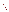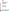

# **Environmental Technology Verification Program**  Advanced Monitoring Systems Center

Test/QA Plan for Pilot-Scale Verification of Continuous Emission Monitors for Mercury

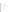# **TEST/QA PLAN**

**FOR** 

# **PILOT-SCALE VERIFICATION OF CONTINUOUS EMISSION MONITORS FOR MERCURY**

**November 30, 2000** 

**Prepared by** 

**Battelle 505 King Avenue Columbus, OH 43201-2693**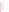# **TABLE OF CONTENTS**

| $\mathbf{1}$   |
|----------------|
| $\mathbf{1}$   |
| $\mathbf{1}$   |
| $\overline{2}$ |
| 10             |
| 10             |
| 12             |
| 14             |
| 14             |
| 18             |
| 20             |
| 20             |
| 22             |
| 23             |
| 24             |
| 32             |
| 36             |
| 36             |
| 37             |
| 37             |
| 38             |
| 38             |
| 39             |
| 39             |
| 40             |
| 41             |
| 41             |
| 42             |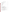# **TABLE OF CONTENTS (Continued)**

| 6.4 Equipment Used for Performance Evaluation Audits | 43<br>43       |
|------------------------------------------------------|----------------|
| 7.0 QUALITY ASSURANCE/QUALITY CONTROL                | 45             |
|                                                      | 45<br>46       |
|                                                      | 50             |
|                                                      | 50<br>51<br>51 |
|                                                      | 54             |
|                                                      | 55             |

# **Tables**

| Table 3-1. |                                                                 | 16 |
|------------|-----------------------------------------------------------------|----|
| Table 3-2. |                                                                 | 18 |
| Table 4-1. | Weekly Schedule of Mercury CEM Verification Testing             | 22 |
| Table 4-2. | Summary of Flue Gas Constituent Concentrations Planned for      |    |
|            |                                                                 | 24 |
| Table 4-3. | Interferant Gases and Concentrations to Be Used in              |    |
|            |                                                                 | 30 |
| Table 4-4. | Summary of Data to Be Obtained in Mercury CEM Verification Test | 33 |
| Table 7-1. |                                                                 | 47 |
| Table 8-1. | Summary of Data Recording Process for the Verification Test     | 52 |

# **Figures**

| Figure 1. |                                                                           | 3              |
|-----------|---------------------------------------------------------------------------|----------------|
| Figure 2. | Side View (top) and End View (bottom) of the RKIS Test Facility $\dots$ . | $\overline{5}$ |
| Figure 3. | Schedule of Verification Test Day with Ontario Hydro Sampling             | 28             |
| Figure 4. |                                                                           | 29             |
| Figure 5. |                                                                           |                |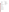#### **DISTRIBUTION LIST**

Mr. Joseph Siperstein Ohio Lumex Co., Inc. 5405 East Schaaf Road Cleveland, Ohio 44131

Mr. Philip C. Efthimion EEI, Inc. P.O. Box 6 Pluckemin, NJ 07978

Dr. Peter Stockwell Managing Director P.S. Analytical, Ltd. Arthur House, Crayfields Industrial Estate Main Road, Orpington, Kent BR5 3HP England

Mr. Frank Schaedlich Tekran, Inc. 1-132 Railside Road Toronto, Canada M3A 1A3

Dr. Koji Tanida Director, Tech Center Nippon Instruments Corp. 14-8, Akaoji, Takatsuki, Osaka, 569-1146, Japan

Ms. Elizabeth A. Betz U.S. Environmental Protection Agency National Exposure Research Laboratory MD-44 Research Triangle Park, NC 27711

Mr. Robert Fuerst U.S. Environmental Protection Agency National Exposure Research Laboratory MD-46 Research Triangle Park, NC 27711

Mr. Chris Winterrowd ARCADIS Geraghty & Miller, Inc. 4905 Prospectus Drive, Suite F Durham, NC 27705

Ms. Elizabeth Hunike Quality Assurance Specialist U.S. Environmental Protection Agency National Exposure Research Laboratory ERC Annex, MD-46 Research Triangle Park, NC 27711

Mr. Jeffrey V. Ryan MD-04 USEPA Mailroom Research Triangle Park, NC 27711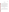#### **1.0 INTRODUCTION**

#### **1.1 Test Description**

This test/quality assurance (QA) plan provides detailed procedures for a verification test of continuous emission monitors (CEMs) used to measure total and chemically speciated mercury (Hg) in source emissions. The verification test will be conducted under the auspices of the U.S. Environmental Protection Agency's (EPA) Environmental Technology Verification (ETV) program. The purpose of ETV is to provide objective and quality assured performance data on environmental technologies, so that users, developers, regulators, and consultants have an independent and credible assessment of what they are buying and permitting.

The verification test will be performed by Battelle, of Columbus, OH, which is EPA's partner for the ETV Advanced Monitoring Systems (AMS) Center. The scope of the AMS Center covers verification of monitoring methods for contaminants and natural species in air, water, and soil. In performing the verification test, Battelle will follow procedures specified in this test/QA plan, and will comply with quality requirements in the "Quality Management Plan for the ETV Advanced Monitoring Systems Pilot" (QMP).*(1)* 

#### **1.2 Test Objective**

The objective of the verification test is to quantify the performance of commercial mercury CEMs, by comparison to reference Hg measurements, and by challenges with mercury standard gases and interferences, under controlled conditions in a pilot-scale combustion facility. A subsequent test, based on a separate test/QA plan, is planned to assess performance at a fullscale facility.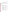#### **1.3 Organization and Responsibilities**

The verification test will be performed by Battelle in cooperation with EPA and the vendors who will be having their analyzers verified. The organization chart in Figure 1 shows the individuals from Battelle, the vendor companies, and EPA who will have responsibilities in the verification test. The specific responsibilities of these individuals are detailed in the following paragraphs.

## **1.3.1 Battelle**

Dr. Thomas J. Kelly is the AMS Center's Verification Testing Leader. In this role, Dr. Kelly will have overall responsibility for ensuring that the technical, schedule, and cost goals established for the verification test are met. More specifically, Dr. Kelly will:

- • Coordinate Battelle, EPA, contractor, and vendor staff to conduct the verification test
- Guide the Battelle/EPA/contractor/vendor team in performing the verification test in accordance with this test/QA plan
- Have overall responsibility for ensuring that this test/QA plan is followed.
- Prepare the draft test/QA plan, verification reports, and verification statements
- Revise the draft test/QA plan, verification reports, and verification statements in response to reviewers' comments
- Respond to any issues raised in assessment reports and audits, including instituting corrective action as necessary
- Serve as the primary point of contact for vendor representatives
- • Establish a budget for the verification test and monitor the effort to ensure that budget is not exceeded
- • Ensure that confidentiality of vendor information is maintained.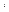Page 3 of 55 Version 2.1 Date: 11/30/00



**Figure 1. Organization Chart for the Verification Test**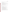Ms. Karen Riggs is Battelle's AMS Center manager. As such, Ms. Riggs will:

- Review the draft test/QA plan
- Review the draft verification reports and statements
- Coordinate distribution of final test/QA plan, verification reports, and statements
- • Ensure that necessary Battelle resources, including staff and facilities, are committed to the verification test
- • Ensure that vendor confidentiality is maintained
- Support Dr. Kelly in responding to any issues raised in assessment reports and audits
- Maintain communication with EPA's Center Manager.

Mr. Charles Lawrie is Battelle's Quality Manager for the AMS Center. As such, Mr. Lawrie will:

- Review the draft test/QA plan
- Maintain communication with EPA's Quality Manager for the AMS Center
- Conduct a technical systems audit once during the verification test
- Review results of performance evaluation audit(s) specified in this test/QA plan
- Audit at least 10% of the verification data
- Prepare and distribute an assessment report for each audit
- Verify implementation of any necessary corrective action
- Issue a stop work order if internal audits indicate that data quality is being compromised; notify Battelle's AMS Center Manager if such an order is issued
- Provide a summary of the QA/QC activities and results for the verification reports
- Review the draft verification reports and statements
- Ensure that all quality procedures specified in this test/QA plan and in the  $QMP^{(1)}$  are followed.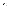Staff of Battelle's Statistics and Data Analysis Systems (SDAS) department will provide statistics and data analysis support. In particular, SDAS staff will:

- Contribute to the planning of statistical treatment of the CEMs data
- Perform statistical calculations specified in this test/QA plan on the analyzer data
- • Provide results of statistical calculations and associated discussion for the verification reports
- Support Dr. Kelly in responding to any issues raised in assessment reports and audits related to statistics and data reduction.

Staff of Battelle's Atmospheric Science and Applied Technology (ASAT) department will support Dr. Kelly in planning and conducting the verification test. These staff will:

- Assist in planning for the test, and making arrangements for the installation of the CEMs
- Assist vendors and test facility staff as needed during the CEM installation and verification testing
- Assure that test procedures and data acquisition are conducted according to this test/QA plan

# **1.3.2 Vendors**

Vendor representatives will:

- Review the draft test/QA plan
- Approve the final test/QA plan
- Participate in required safety training at the test facility before installation of their CEMs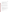- Attend a pre-study site visit to review facility requirements for testing
- Provide a mercury CEM for the duration of the verification test
- • Commit a trained technical person to operate, maintain, and repair the CEM throughout the verification test
- Participate in verification testing, including providing data acquisition for their mercury CEMs
- Provide to Battelle staff the data from their CEM at the conclusion of each test day
- Review their respective draft verification report and verification statement.

# **1.3.3 EPA**

EPA's responsibilities in the AMS Center are based on the requirements stated in the "Environmental Technology Verification Program Quality and Management Plan for the Pilot Period (1995-2000)" (QAMP).<sup>(2)</sup> The roles of specific EPA staff under the QAMP are as follows:

Ms. Elizabeth Betz is EPA's Quality Manager. For the verification test, Ms. Betz will:

- Review the draft test/QA plan
- Perform, at her option, one external technical systems audit during the verification test
- Notify the Battelle AMS Center's Quality Manager to facilitate a stop work order if an external audit indicates that data quality is being compromised
- Prepare and distribute an assessment report summarizing the results of the external audit, if one is performed
- Review the draft verification reports and statements.

Mr. Robert Fuerst is EPA's AMS Center Manager. As such, Mr. Fuerst will:

Review the draft test/QA plan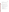- Approve the final test/QA plan
- • Review the draft verification reports and verification statements
- Oversee the EPA review process on the draft test/QA plan, reports, and verification statements
- • Coordinate the submission of reports and verification statements for final EPA approval.

This verification test will be conducted in collaboration with Jeffrey Ryan of EPA's Office of Research and Development, National Risk Management Research Laboratory (ORD/NRMRL). Mr. Ryan's responsibilities are:

- Coordinate the operation of the pilot scale facility for the purposes of ETV testing
- Conduct pre-verification testing to document the capabilities of the pilot scale facility and reference methods
- Coordinate the installation of vendors' equipment at the pilot scale facility
- Communicate needs for safety and other training of staff working at the pilot scale facility
- Contribute to the development of the draft test/QA plan
- Review the draft test/QA plan
- Provide input for the verification test reports
- Provide input in responding to any issues raised in assessment reports and audits related to pilot facility operations.
- • Review draft verification reports and verification statements.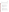# **1.3.4 Contractor**

The RKIS Facility is operated for EPA by an on-site contractor (Arcadis/Geraghty and Miller). This contractor will perform some duties under contract with EPA, and additional duties related to the verification test under a subcontract with Battelle. The contractor's responsibilities will be:

#### For EPA:

- Assemble trained technical staff to operate the pilot scale facility
- Ensure that the facility is fully functional prior to the times/dates needed in the verification test
- Oversee technical staff in facility operation during the verification test
- Ensure that operating conditions and procedures for the pilot scale facility are recorded during the verification test
- Review and approve all data and records related to facility operation

# For Battelle:

- Review the draft test/QA plan
- Adhere to the quality requirements in this test/ $QA$  plan and in the  $QMP$
- • Assemble trained technical staff to conduct reference method sampling for the verification test
- Contract for and oversee laboratory analysis of the reference method samples
- Report reference method analytical and quality assurance results to Battelle in an agreed-upon format
- Provide input on facility operating conditions and procedures for the verification test report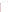- Page 9 of 55 Version 2.1 Date: 11/30/00
- • Support Dr. Kelly in responding to any issues raised in assessment reports and audits related to facility operation.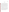#### **2.0 APPLICABILITY**

#### **2.1 Subject**

This test/QA plan is applicable to the verification testing of commercial continuous emission monitors for determining total and/or chemically speciated mercury in combustion source emissions. Total mercury is the sum of mercury in all phases and chemical forms in the combustion gas, including elemental mercury (Hg<sup>o</sup>) and oxidized mercury (primarily mercuric chloride (HgCl<sub>2</sub>) and mercuric oxide (HgO)) vapors, and particulate-phase mercury. Most commercial mercury CEMs do not measure the particulate phase mercury; instead they filter out particulate matter, and measure the total of the vapor-phase mercury species. This approach is taken because at least for electrical generating facilities, recent stack test results indicate that the great majority of emitted mercury is in the vapor phase.<sup>(3)</sup> Commercial CEMs may provide chemical speciation data, i.e., the oxidized and elemental fractions of the Hg vapor species are reported separately. This separation is commonly accomplished by a difference measurement, in which oxidized mercury is intermittently chemically reduced or thermally decomposed to elemental mercury for detection.

The commercial mercury CEMs also use a variety of final analytical approaches to detect mercury. Cold vapor atomic absorption spectroscopy (CVAAS), cold vapor atomic fluorescence spectroscopy (CVAFS), and differential optical absorption spectroscopy (DOAS) are all used, but can detect only elemental mercury, and so require the speciation approaches outlined above to determine oxidized mercury. Atomic emission spectroscopy (AES) is used in one commercial CEM, and has the advantage that in principle all forms of mercury, including particulate mercury, are converted to elemental mercury and detected equally. This approach provides a true total mercury measurement, but does not provide any information on speciation.

The terminology to be used in this test/QA plan is as follows: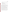- Total mercury (TM) the sum of all vapor and particulate mercury, whether elemental or oxidized;
- Total vapor-phase mercury  $(TVM)$  the sum of all vapor-phase mercury species, whether elemental or oxidized;
- Elemental mercury (EM) vapor-phase  $Hg^{\circ}$ ;
- Oxidized mercury (OM) the sum of vapor-phase non-elemental mercury, regardless of chemical species (e.g., HgCl<sub>2</sub>, and others).
- Particulate mercury (PM) mercury in the particulate phase.

The CEMs tested according to this plan will be verified for their measurement of any and all of the applicable mercury components listed above. For example, a monitor that determines TVM and EM, and by difference determines OM, will be verified for measurements of all three components. In the U.S., emission regulations on combustion sources are expected to address only total mercury. However, there are valuable non-regulatory uses of mercury speciation data, and therefore speciation capabilities of the CEMs will be verified.

Verification testing requires a basis for establishing the quantitative performance of the tested technologies. For the verification testing conducted under this test/QA plan, the basis of comparison consists of a reference method of measurement, i.e. the Ontario Hydro (OH) method,(4) currently recognized as the most suitable procedure to determine oxidized and elemental mercury in source emissions. This method is specifically designed for use in environments containing high levels of sulfur dioxide  $(SO<sub>2</sub>)$ , and has shown agreement within about 10% for total mercury with EPA Method 101A, in trial runs at the pilot facility to be used for this verification,<sup>(5)</sup> and in other sampling tests.<sup>(e.g., 6)</sup>

This test/QA plan calls for the use of a natural gas fired pilot-scale combustion facility as the test bed for the verification. Such a facility allows flexibility in simulating different sources of combustion flue gas, such as coal combustion or mixed waste incineration, by injecting constituents into the combustion zone. However, other combustion sources, such as an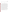incinerator, may also be used, provided they allow appropriate control of test conditions and mercury levels.

#### **2.2 Scope**

The overall objective of the verification test described in this plan is to provide quantitative verification of the performance of the mercury CEMs in realistic test conditions. Since mercury CEMs are a relatively new group of instruments, performance expectations, and procedures to assess their performance, are not fully established. EPA has published the draft performance specification document designated as  $PS-12$ ,<sup> $(7)$ </sup> as a proposed description of how to assess the acceptability of a mercury CEM upon installation and thereafter. However, the draft  $PS-12$  is patterned after performance specifications for CEMs for other pollutants, such as  $SO<sub>2</sub>$ and nitrogen oxides  $(NO_x)$ , and as a result it includes requirements which are inappropriate or currently not feasible. For example, the draft PS-12 calls for the CEM to be able to measure both vapor and particulate phase mercury. As noted above, most current CEMs do not determine particulate-phase mercury. Also, the draft PS-12 calls for the use of absolute standards for both EM and OM (the latter in the form of  $HgCl<sub>2</sub>$ ). Although elemental mercury compressed gas standards are becoming commercially available, they have not yet been widely used. The stability of such standards appears to be good enough to assess instrumental drift and precision,  $(e.g., 8)$  but their absolute quantitation may not be sufficient to assess instrumental accuracy. Comparable standards for HgCl<sub>2</sub> do not yet exist. As a result of factors such as these, and because PS-12 is a draft document soon to be revised, it is not appropriate to simply adopt PS-12 procedures as the basis for this verification test. Instead, this test is designed to evaluate CEM performance on key monitoring characteristics, while addressing some performance requirements raised in PS-12 as closely as possible.

The performance parameters that are addressed by this test/QA plan include: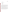- Relative accuracy
- Correlation with reference method
- **Precision**
- Calibration drift
- Zero drift
- Sampling system bias
- Interference response
- Response time.

Relative accuracy, correlation with the reference method, and precision (i.e., repeatability at stable test conditions) will be assessed for whichever of the TM, EM, OM, and PM fractions are measured by the commercial CEM. Calibration and zero drift, response time, and sampling system bias will be assessed for EM only, using commercial compressed gas standards of EM. Interference response will be assessed in sampling of the combustion facility flue gas, rather than in sampling of diluted calibration gases, as called for in PS-12. Calibration error will not be assessed in this test, because of the absence of absolute standards.

It is beyond the scope of this verification test to simulate the aging and exposures that may affect a CEM during routine long-term use. This verification test evaluates the performance of new CEMs, installed in a pilot-scale facility, over a relatively short test period, in the hands of vendor staff skilled in their operation. It must be noted that long-term performance may be different from that observed in the testing described here. However, the effort spent in installing and maintaining each CEM will be documented, and the amount of time each CEM is operational over the verification test period will be recorded, to assess data completeness.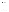#### **3.0 SITE DESCRIPTION**

This verification test will be conducted at the Rotary Kiln Incinerator Simulator (RKIS) at the EPA Incineration Research Laboratory in Research Triangle Park (RTP), North Carolina. This section of the test/QA plan describes the RKIS and the procedures for operating it for this test.

#### **3.1 Test Facility**

A schematic diagram of the RKIS is provided in Figure 2, and the RKIS design characteristics are provided in Table 3-1. The RKIS was modified in 1997, for a simultaneous test of eight multi-metals CEMs; Figure 2 and Table 3-1 reflect those modifications. The RKIS consists of a primary combustion chamber, a transition section, and a fired afterburner in the secondary combustion chamber. Both the kiln and afterburner are fitted with 73 kW (0.25 MMBtu/h) auxiliary fuel burners. Natural gas is the primary fuel, although liquid waste or fuel oil can also be fired. Typical firing rates are 29 to 88 kW (0.1 to 0.3 MMBtu/h) to each of the kiln and the afterburner.

Combustion flue gases exiting the afterburner are rapidly cooled to approximately 540°C (1000°F) as they pass through a water-jacketed section of ductwork. Further cooling, to approximately 340°C (650°F) or less, is achieved by adding air via an air dilution damper just upstream of a 9.9 m (35 ft) long, 20.3 cm (8 in) diameter duct which contains the sampling ports. Both the CEMs to be tested and the reference method measurements will use these sampling ports.

Access for isokinetic flue gas sampling is available at several locations in the duct noted above, via standard 3 inch (7.6 cm) and 4 in (10.2 cm) diameter National Pipe Thread (NPT) couplings. These sampling ports are located in straight horizontal and vertical runs of circular cross section, nominally 8 in (20.3 cm) diameter, Schedule 10 stainless steel pipe. The sampling ports are configured as a ring of three ports, which includes a 10.2 cm (4 in) diameter port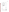Page 15 of 55 Version 2.1 Date: 11/30/00



**Figure 2. Side View (top) and End View (bottom) of the RKIS Test Facility**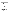|                       | <b>Characteristics of the Primary Combustion Chamber</b>                                        |  |  |  |
|-----------------------|-------------------------------------------------------------------------------------------------|--|--|--|
| Length                | $1.83 \text{ m} (6 \text{ ft})$                                                                 |  |  |  |
| Diameter, Outside     | $1.22 \text{ m} (4 \text{ ft})$                                                                 |  |  |  |
| Diameter, Inside      | Nominal 0.76 m (2.5 ft)                                                                         |  |  |  |
| Chamber Volume        | $0.28 \text{ m}^3 (9.9 \text{ ft}^3)$                                                           |  |  |  |
| Construction          | $0.64$ cm $(0.25$ in) thick cold-rolled steel                                                   |  |  |  |
| Refractory            | 23 cm (9 in) thick high alumina castable refractory at maximum<br>I.D. point                    |  |  |  |
| Rotation              | Counterclockwise, 0.25 to 2 rpm                                                                 |  |  |  |
| Solids Retention Time | Batch system - solids remain until physically removed                                           |  |  |  |
| <b>Burner</b>         | Custom burner based on IFRF design rated at 73 kW (0.25<br>MMBtu/h) with liquid feed capability |  |  |  |
| Primary Fuel          | Natural gas                                                                                     |  |  |  |
| Feed System:          |                                                                                                 |  |  |  |
| Liquids               | Fuel oil or liquid waste pumped into burner                                                     |  |  |  |
| Solids                | Manual batch containers fed with ram rod                                                        |  |  |  |
| Temperature (max.)    | 1,100 °C (2,000 °F)                                                                             |  |  |  |
|                       | <b>Characteristics of the Afterburner Chamber</b>                                               |  |  |  |
| Length                | 3 m (10 ft)                                                                                     |  |  |  |
| Diameter, Outside     | $1.22 \text{ m} (4 \text{ ft})$                                                                 |  |  |  |
| Diameter, Inside      | $0.61$ m $(2 \text{ ft})$                                                                       |  |  |  |
| Chamber Volume:       |                                                                                                 |  |  |  |
| Mixing Chamber        | $0.18 \text{ m}^3 (6.3 \text{ ft}^3)$                                                           |  |  |  |
| Plug Flow Chamber     | $0.45 \text{ m}^3$ (16 ft <sup>3</sup> )                                                        |  |  |  |
| Construction          | 0.64 cm (0.25 in) thick cold-rolled steel                                                       |  |  |  |
| Refractory            | 30 cm (12 in) thick high alumina castable refractory                                            |  |  |  |
| Gas Residence Time    | 2 to 5 s depending on temperature and excess air                                                |  |  |  |
| <b>Burner</b>         | Custom burner based on IFRF design rated at 73 kW (0.25<br>MMBtu/h)                             |  |  |  |
| Primary Fuel          | Natural gas                                                                                     |  |  |  |
| Temperature (max.)    | 1,100 °C (2,000 °F)                                                                             |  |  |  |

# **Table 3-1. Design Characteristics of the RKIS**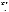Page 17 of 55 Version 2.1 Date: 11/30/00

opposite a 7.6 cm (3 in) diameter port and a single 7.6 cm (3 in) diameter port at right angles to the other two. Eight sets of ports are in place. The first set of ports is located 4.3 m (14 ft) downstream from the air dilution damper. The second set of ports is 1.4 m (4.5 ft) downstream of the first set. Two additional sets of ports are located at  $0.6$  m  $(2 \text{ ft})$  intervals downstream, and the remaining ports are at intervals of about two meters further downstream. The Hg CEMs undergoing testing will be located at ports 5, 6, and 7 (Figure 2); the reference method sampling will take place at the locations labeled RM1 and RM2 (Figure 2).

Flue gas concentrations of oxygen  $(O_2)$ , carbon dioxide  $(CO_2)$ , carbon monoxide  $(CO)$ , nitric oxide and total nitrogen oxides  $(NO/NO<sub>x</sub>)$ ,  $SO<sub>2</sub>$ , and hydrogen chloride (HCl) are monitored at the RKIS by means of continuous emission monitors for these species. These CEMs are calibrated and operated by EPA and/or contractor staff as part of the normal operations of the RKIS facility. These CEMs, which are identified in Table 3-2, can draw sample from various points in the duct. In this test  $O_2$  content will be measured just downstream of the air dilution damper and also in a section of duct downstream of the Hg CEM and reference method locations. Comparing the upstream to downstream  $O_2$  measurement will provide verification that neither the tested CEMs nor the reference method sampling are causing air in-leakage resulting in flue gas sample dilution. Flue gas at the Hg CEM sampling locations will have a temperature of up to 340°C (650°F), an oxygen content of about 15%, and a moisture content of about 7 percent by volume. The duct is at a negative pressure (draft) of nominally 0.25 kPa (- 1 inch water column). The volumetric flow rate is about 8.8 scm/min (310 scfm), resulting in flow velocities that are nominally 1.8 to 2.9 m/s (5.9 to 9.5 ft/s). Flow velocities are essentially constant across the duct diameter.

The RKIS facility CEMs will have two major roles in this verification test. First, measurements of major diluent gases in the flue gas  $(O_2, CO_2)$  will be used, along with H<sub>2</sub>O content results obtained from the Ontario Hydro method, to assess air in-leakage as noted above, and to establish the flue gas composition for adjustment of all test results to common conditions. Second, measurements of pollutants  $(CO, SO<sub>2</sub>, NO/NO<sub>x</sub>, HCl)$  will be used to document normal flue gas composition, and to establish the target levels of interferants added to the RKIS flue gas. That is, interferant levels will be achieved by actual measurements in the duct using the RKIS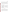CEMs, rather than by calculated dilutions of standards for  $SO_2$ ,  $CO$ , etc. injected into the flue gas. In the case of  $NO<sub>x</sub>$ , the injected interferant will be NO; typically 5 to 10 percent of the injected NO will be converted to  $NO<sub>2</sub>$  in the RKIS. HCl levels may be prepared by injection of HCl gas, or of chlorine gas  $(Cl<sub>2</sub>)$ , and will be monitored with the RKIS CEM for HCl. Injection of  $Cl<sub>2</sub>$  into the RKIS may produce both  $Cl<sub>2</sub>$  and HCl, depending on the point of introduction of the  $Cl_2$ . In such cases the amount of  $Cl_2$  in the flue gas will be calculated as the amount injected minus the HCl measured by the HCl CEM. This approach is made necessary by the absence of a CEM for  $Cl<sub>2</sub>$ .

| <b>Pollutant</b> | Instrument                      | Principle          | <b>Measurement</b><br>Range(s) |
|------------------|---------------------------------|--------------------|--------------------------------|
| O <sub>2</sub>   | Rosemount Analytical Model 755R | Paramagnetic       | $0 - 25\%$                     |
| CO <sub>2</sub>  | Horiba Model VIA510             | NDIR <sup>a</sup>  | $0 - 20%$                      |
| CO               | Horiba Model PIR2000            | <b>NDIR</b>        | $0-500$ ppm                    |
| NO <sub>x</sub>  | TECO Model 10                   | Chemiluminescent   | $0-250$ ppm                    |
| SO <sub>2</sub>  | Bodenzeewerk Model MCS 100      | GFCIR <sup>b</sup> | $0-250, 0-2500$ ppm            |
| HC <sub>1</sub>  | Bodenzeewerk Model MCS 100      | <b>GFCIR</b>       | $0-100$ , $0-1000$ ppm         |

| Table 3-2. Summary of RKIS Pollutant CEMs |  |  |  |  |
|-------------------------------------------|--|--|--|--|
|-------------------------------------------|--|--|--|--|

a: NDIR = nondispersive infrared.

b: GFCIR = gas filter correlation infrared.

#### **3.2 RKIS Operation**

For all tests, both the kiln and the afterburner will be fired with natural gas. No waste or simulated waste feed to the kiln will be employed, however mercury will be introduced into the flue gas by atomizing an aqueous solution of mercuric nitrate  $(Hg(NO<sub>3</sub>)<sub>2</sub>)$  into the afterburner. The mercury solution will be atomized into an annulus inside the afterburner natural gas feed tube. The solution will be atomized at the exit from that annulus, introducing Hg-containing aerosol droplets directly into the burner flame. The droplets will evaporate rapidly in the flame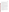Page 19 of 55 Version 2.1 Date: 11/30/00

zone, yielding primarily dry, vapor-phase mercury. The oxidation state of the mercury will be manipulated by also introducing gaseous chlorine into the RKIS.

Two different mercury solutions will be used in the test, to produce both relatively low Hg levels simulating those in coal-fired power plant flue gas, and much higher levels simulating those in incinerator flue gas. In both cases, the solution addition rate will be nominally10 mL/min. The high concentration solution will be diluted approximately ten-fold to make the solution for the lower target concentration tests. The target low and high mercury concentrations are about  $8 \mu g/m^3$  and  $80 \mu g/m^3$ , respectively.

Particulate matter will also be introduced into the flame zone, to produce a particulate matter loading in the flue gas downstream. Particulate injection is needed primarily to create a realistic flue gas environment, and also to provide a particulate Hg sample for the verification of TM and PM measurement capabilities of any CEMs that determine the PM component. A K-Tron mass-controlled feeder will be used to inject coal fly ash from a utility boiler directly into the hot flue gas as it exits the kiln. The fly ash to be used was selected for its low reactivity with vapor-phase mercury, and will be thoroughly characterized for mercury content. The particulate loading during verification testing will be determined using the filter and front half catch from the Ontario Hydro reference method trains, rather than from a separate Method 5 train. One Ontario Hydro train from each of the two reference sampling locations will be used for particulate loading determination in each run.

In addition to mercury and particulate matter, other common flue gas constituents will be introduced, for simulation of flue gas composition, and for evaluation of potential interferences in Hg CEM measurements. Specifically,  $Cl_2$ , HCl,  $CO$ ,  $SO_2$ , and NO will be introduced by dilution of compressed gases into the flue gas.

Injection of mercury solutions, particulate matter, or gases will take place only after stable operation of the RKIS is achieved and the RKIS flue gas cleaning system is operating within its permit limits. Injection will begin at least 30 minutes before any reference sampling or verification data collection takes place.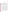#### **4.0 EXPERIMENTAL DESIGN**

#### **4.1 General Design**

The verification test described in this test/QA plan will be conducted over about a threeweek period, at the RKIS facility. The first week will be spent installing the commercial CEMs at the RKIS, and conducting a shakedown run of all systems before the verification effort begins. Testing will not begin until all the reference method equipment and RKIS facilities are fully operational. Similarly, it is desirable that all the commercial CEMs be fully operational, to participate in the verification test. However, to avoid delaying the start of the testing, it will be required that all participating CEMs arrive at the facility by a specified day, and be ready to begin testing within one week after arrival, or when the RKIS facility itself is fully ready, whichever is later. CEMs which are not operational at that time may join the testing process once they come on line.

The two weeks of testing will follow immediately after the setup/shakedown period. A similar test schedule will be followed in each of the two weeks, but the Hg levels and the levels of other flue gas constituents will be different in the two weeks. Verification will involve comparisons of the CEM results with those from a time-integrated reference method (the Ontario Hydro Method),<sup>(4)</sup> as well as challenges with interferences and with  $Hg^{\circ}$  compressed gas standards. In general, different test activities will be conducted on different days, but certain test procedures will take place on every test day. All participating CEMs, and the reference method sampling trains, will sample flue gas at the same time from the RKIS duct. However, it will not be possible to co-locate the sampling points of all the CEMs. Tests at the RKIS facility have shown that Hg concentrations are conserved in passage through the duct, so the exact location of individual CEMs is not expected to introduce bias in the verification.<sup>(5)</sup> Reference method samples will be collected at both the upstream and downstream end of the duct in all verification testing, to document the mercury levels and mercury speciation.

The performance parameters to be verified and the procedures with which they will be tested are summarized below: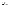- Relative accuracy by comparison to reference method results on flue gas samples;
- Correlation with reference method results;
- Precision by repeated readings under stable conditions;
- Calibration drift/zero drift by sampling of Hg<sup>o</sup> standard gas or zero gas;
- Sampling system bias by sampling of Hg<sup>o</sup> standard gas both through the CEM's sampling probe and at the CEM's mercury analyzer;
- Interferences by addition of potential interferants to the flue gas;
- Response time by observation of instrument response with standard/zero gases;
- Setup/Maintenance Needs by observation of installation and maintenance efforts;
- Data Completeness by the fraction of the verification test completed.

Throughout the verification test, each CEM undergoing testing will be operated by the CEM vendor's own staff. However, the intent of the testing is for the CEM to operate continuously in a manner simulating operation at a combustion facility. **As a result, once the verification test has begun in each week of testing, no adjustment or recalibration will be performed, other than what would be conducted automatically by the CEM in normal unattended operation. Adjustments to the CEM may be made between the first and second weeks of testing.** Repair or maintenance procedures may be carried out at any time, but testing will not be interrupted, and data completeness will be reduced if such activities prevent completion of verification tests.

The schedule and procedures of this verification test are described in more detail in the subsequent sections.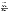#### **4.2 Weekly Schedule**

The Hg CEM testing will follow the weekly schedule shown in Table 4-1. The first four days of the week are scheduled for verification test activities of various kinds, and the fifth day is scheduled to allow for any repeat tests, or completion of items not completed on earlier

| Day       | <b>AM/PM</b> | <b>Test Activity (Performance Parameter)</b>                                                                                   |
|-----------|--------------|--------------------------------------------------------------------------------------------------------------------------------|
| Monday    | AM           | Challenge with Hg <sup>o</sup> standard/zero gas (Calibration/Zero Drift)                                                      |
|           | PM           | Flue gas sampling (Relative Accuracy, Correlation, Precision)                                                                  |
| Tuesday   | AM           | Challenge with Hg <sup>o</sup> standard/zero gas (Calibration/Zero Drift)                                                      |
|           | PM           | Flue gas sampling (Relative Accuracy, Correlation, Precision)                                                                  |
| Wednesday | AM           | Challenge with Hg <sup>o</sup> standard/zero gas (Calibration/Zero Drift)                                                      |
|           | PM           | Flue gas sampling (Relative Accuracy, Correlation, Precision)                                                                  |
| Thursday  | AM           | Challenge with Hg <sup>o</sup> standard/zero gas (Calibration/Zero Drift)                                                      |
|           | PM           | Spiking of flue gas (Interferences) <sup>a</sup>                                                                               |
| Friday    | AM           | Challenge with Hg <sup>°</sup> standard/zero gas (Calibration/Zero Drift,<br>Response Time, <sup>a</sup> Sampling System Bias) |
|           | PM           | Low level Hg response; <sup>a</sup> completion or repetition of tests                                                          |
| Saturday  | AM/PM        | Test preparations / Maintenance                                                                                                |
| Seven     |              | Down day - no testing                                                                                                          |

**Table 4-1. Weekly Schedule of Mercury CEM Verification Testing** 

a: Test performed only in the first week of verification testing.

days. A day for maintenance and a scheduled down day complete the week. As Table 4-1 shows, on Monday, Tuesday, and Wednesday of the test week, verification testing will consist of challenging each CEM with zero gas and a Hg° gas standard in the morning, followed by flue gas sampling with both the CEMs and the reference method in the afternoon. As noted above, once the verification test has begun on Monday, no further adjustment of the CEM will take place until the end of the first week of testing. On Thursday and Friday of the first test week, the same Hg<sup>o</sup>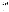Page 23 of 55 Version 2.1 Date: 11/30/00

challenge will be carried out in the morning, resulting in a series of five successive days for this test. On Friday morning, a sampling system bias test will also be conducted, in which the  $Hg^{\circ}$ standard gas will first be sampled through each CEM's sample interface, and then directly at the CEM's pollutant analyzer. Also on Friday morning, the response time of the CEMs will be tested, using the Hg° standard gas. The afternoon of Thursday will be devoted to testing of interferences in the flue gas matrix, and part of the afternoon of Friday will be used to perform a qualitative test of the CEMs' ability to monitor Hg at levels below 5  $\mu$ g/m<sup>3</sup>. The rest of Friday afternoon will be available to repeat tests from earlier days, and to address any unforseen problems or opportunities in sampling. Saturday of the first week will be used to prepare for the next week of testing, or to maintain the RKIS or other systems.

The second week of verification testing will be similar to the first, except that the interference, response time, and low level Hg tests will not be performed. As a result, testing activities in the second week will be completed by Thursday. This schedule allows ample time for completion or repetition of any test activities.

The interference testing will be conducted by establishing a stable mercury addition to the RKIS combustion zone, and then monitoring that Hg level continuously with the CEMs while adding other flue gas constituents one at a time or together. The effect of the interferants will be assessed by comparing the CEM response with only Hg added, to the response when Hg and one or more interferants are added. The Hg level used in this test will be the  $8 \mu g/m^3$  level to be used in the first week of verification testing. The interferant levels used will be relatively high values to assure a definite conclusion about the presence or absence of an interference.

#### **4.3 Test Conditions**

Table 4-2 shows the approximate levels of mercury and other constituents that will be prepared in the flue gas stream, for each of the two weeks of testing. Conditions for the first week are intended to approximate those in a coal-fired power plant, and in the second week those in a municipal waste incinerator. The order of these two test conditions is chosen so that the lower mercury concentration is used first, to avoid contaminating the RKIS during testing. The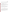approximate levels shown in Table 4-1 will be maintained throughout all periods of Hg addition and reference method sampling. It is expected based on past experience at the RKIS that the flue gas levels of all constituents in Table 4-2 will be maintained within10 percent of the target levels shown.

# **Table 4-2. Summary of Flue Gas Constituent Concentrations Planned for Use in Verification Testing**

| Test Week | $Hg(\mu g/m^3)$ | $SO2$ (ppm) | $NO_{x}$ (ppm) <sup>a</sup> | $HCl (ppm)^b$ | Particulate $(mg/m3)$ |
|-----------|-----------------|-------------|-----------------------------|---------------|-----------------------|
| One       |                 | 1000        | 250                         |               | 30                    |
| Two       | 80              | 50          | 50ء                         | 100           | 30                    |

a Produced by injection of NO.

<sup>b</sup> Produced by injection of stoichiometrically equivalent levels of  $Cl_2$ .

In all cases when reference method data are being taken, the introduction of the indicated constituents will be held constant throughout the entire sampling period. The intent of this approach is to allow comparisons of CEM data to reference method data under constant conditions. Higher levels of flue gas constituents will be used in the interference testing, as described in the next section.

#### **4.4 Test Procedures**

The RKIS will be operated continuously during the entire test period, and will not be shut down overnight. Such continuous operation is intended to minimize the potential for retention and subsequent release of mercury by the refractory or other components of the RKIS. The Hg CEMs undergoing verification will be located at ports 5, 6, and 7 of the RKIS (see Figure 2). Locations indicated as RM1 and RM2 in Figure 2 are reserved for reference method sampling, which will be performed by contractor staff. The sampling ports will be assigned so that no CEM is affected by the operation of any other CEM upstream.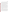Page 25 of 55 Version 2.1 Date: 11/30/00

At the beginning of each test day the CEMs undergoing testing will be supplied (one at a time) with zero gas and then with a commercial compressed gas standard containing elemental mercury. The response to each gas will be recorded on each test day to assess the zero and calibration drift of the CEMs. In this test, the mercury standard will be used solely as a stable, clean sample matrix, not as an absolute mercury standard. On one test day in the first week of testing, the rise and fall times of the CEMs will be determined by recording their readings as the Hg<sup>o</sup> gas is first turned on, and later turned off. Also on one day in each week of testing, the Hg<sup>o</sup> standard gas will be delivered first directly to the CEM's mercury analyzer, and then through the CEM's sample interface, to assess bias introduced by the interface itself.

During performance of the drift checks, the reference method sampling trains will be assembled and leak checked, and the RKIS combustion gas CEMs will be calibrated in accordance with facility standard operating procedures. At this time, the RKIS operation will be stabilized at the desired incineration conditions firing natural gas. After stable RKIS operation is achieved (as indicated by readings of  $O_2$ , temperature, and gaseous emissions (e.g., CO, NO<sub>x</sub>)), injection of mercury spike solution to give the day's target flue gas concentration will be initiated. Mercury solution will be fed to the RKIS for at least 30 min before reference method sample initiation. The addition of the other flue gas constituents will follow this same procedure. The mercury CEMs will begin recording data as soon as they are brought on-line. However, the reference method sampling will start no sooner than a time previously agreed upon with the CEM vendors. The CEM vendors will be given at least 15 minutes notice prior to initiation of reference method sampling.

The number of reference method samples collected will depend on the target mercury concentration. The reference method sampling time will be approximately three hours with the low Hg levels present in the first week of testing, and approximately one hour with the higher Hg levels in the second week. This duration of sampling will allow two reference method samples per day (6 per week) in the first week of testing, and three per day (9 per week) in the second week. During verification testing, sampling will be conducted simultaneously with four trains of the OH method, two each at the upstream and the downstream end of the RKIS duct. Thus each of the two or three measurement periods during a test day will provide four OH results for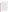Page 26 of 55 Version 2.1 Date: 11/30/00

comparison to the CEM data. To ensure that the reference method and CEM data sets are indeed parallel and comparable for each period, the CEM vendors will be notified of the start and stop times of each reference method period, so they can report average analyte concentrations that correspond directly to the reference method measurement period.

The OH sampling trains will sample isokinetically from a single point in the center of the RKIS duct (i.e., no traversing because of the small size of the duct). The CEMs undergoing testing will also sample at a single point in the center of the duct, non-isokinetically. Each CEM will operate with a simple stainless steel probe, and a heated filter and heated transfer line that mimic those used with the OH trains. The temperature of the heated filters will be approximately 250°F, sufficient to keep the sample gas above its dew point; no attempt will be made to maintain the sample gas at its stack temperature. An EPA Method 2 traverse will be done at each reference sampling location before OH sampling, and again after OH sampling. The pre-run traverse will be used to set the isokinetic sampling rate. The average of the pre- and postsampling traverses will be used for final calculations.

The chemical analysis of recovered sample fractions from OH method trains will be conducted by contractor staff, using contracted laboratory facilities currently used for mercury research studies at the RKIS. Sample handling, analysis, and all associated QA/QC activities will conform to the requirements of the OH method.<sup> $(4)$ </sup> Samples will be recovered from the OH trains within about two hours after sample collection, and delivered to the analytical laboratory within 48 hours of sample collection. Samples will be stored under refrigeration until transfer to the analytical laboratory. Unique sample identification numbers will be implemented so that final data used for verification can be traced back through the analytical process to the original sample. Field blank samples will also be recovered from one blank sampling train on each day that OH method samples are collected. Before sample recovery, that blank train will be transported to the upstream or downstream sampling location at the RKIS on alternate days. Care will be taken that the blank train is selected at random from the prepared trains, so that different trains are used as the blank on different days.

The daily schedule for the first three test days (Monday to Wednesday in Table 4-1) is illustrated in Figure 3. That figure shows the schedule for a day in the first week of testing when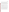Page 27 of 55 Version 2.1 Date: 11/30/00

two 3-hour Ontario Hydro runs are conducted. In the second week, three 1-hour runs will be conducted each day. The test day begins with a challenge of each CEM using zero gas and a commercial standard gas of Hg°. Two different standard cylinders will be used, of equal concentrations. One group of the CEMs undergoing testing will always be tested with Hg° standard cylinder #1, and the remaining CEMs will be challenged with Hg° standard cylinder #2. The two groups of CEMs will be chosen so that standard gas consumption by the two groups is approximately equal. This parallel approach will allow testing with the Hg° standards to proceed efficiently, while assuring that sufficient Hg° standard gas is available to complete the week of testing.

Following the completion of the  $Hg^{\circ}$  standard gas test, introduction of Hg, SO<sub>2</sub>, particulate matter, etc., to the RKIS will begin. As shown in Figure 3, introduction of these species into the RKIS will begin at least 30 minutes before the start of the first OH run, and will continue until the last OH run is completed. The flue gas composition will be maintained in this period at the levels shown in Table 4-2.

The daily schedule of the test day on which interference tests are done (Thursday in Table 4-1) is shown in Figure 4. The same Hg° standard gas challenges will be done in the morning as described above in the context of Figure 3. Then a stable Hg level will be introduced into the RKIS, and the response of the CEMs being tested will be allowed to stabilize. Then each of several potential interferants will also be introduced into the RKIS duct, one at a time for periods of at least one-half hour. The interferant gases and the levels to be introduced in this test are listed in Table 4-3. After the last individual interferant  $(Cl_2)$  has been tested alone, the Cl<sub>2</sub> addition will be continued, and the NO addition will be resumed, to assess whether the combination of  $NO<sub>x</sub>$  and  $Cl<sub>2</sub>$  produces an interference. Subsequently, the other gases (SO<sub>2</sub>, CO<sub>2</sub>, HCl) will also be injected, to produce a mixture of all five interferants at the concentrations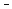



**Figure 3. Schedule of Verification Test Day with Ontario Hydro Sampling**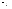Page 29 of 55 Version 2.1 Date: 11/30/00



**Figure 4. Schedule of Interference Test Day**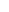| Interferant         | Concentration |
|---------------------|---------------|
| $NOx$ (NO addition) | $500$ ppm     |
| SO <sub>2</sub>     | $2000$ ppm    |
|                     | $500$ ppm     |
| <b>HCl</b>          | $250$ ppm     |
|                     | $10$ ppm      |

# **Table 4-3. Interferant Gases and Concentrations to Be Used in Interference Testing**

shown in Table 4-3. Finally, all the interferants will be shut off, and measurements will be made again with only the Hg injection taking place. Throughout the test, the Hg injection will be held constant, and the Hg CEM responses in the presence of interferants will be compared to those with only Hg injected into the RKIS.

A final test will assess qualitatively the ability of the Hg CEMs to measure Hg levels below 5  $\mu$ g/m<sup>3</sup>. This test will be conducted on Friday of the first test week (Table 4-1), by starting with no Hg injection, then establishing a  $1 \mu g/m^3$  Hg level, and then increasing the Hg concentration in successive steps of two, i.e., to 2  $\mu$ g/m<sup>3</sup>, then to 4  $\mu$ g/m<sup>3</sup>, then to 8  $\mu$ g/m<sup>3</sup>. The Ontario Hydro method does not provide good precision at these low levels, so no absolute comparison of methods will be made. However, the rate of introduction of Hg to the RKIS can be easily and accurately changed, and provides a valuable test of Hg detection. This test will be conducted after an overnight period in which no Hg has been introduced into the RKIS, assuring that background Hg levels are as low as possible prior to injecting Hg. Figure 5 shows the daily schedule of activities for this test procedure. The response of each CEM with varying levels of Hg addition will be compared to that with no Hg addition, and the lowest Hg level producing a positive response will be reported. The remainder of the test day after completion of the low level Hg test will be used to repeat or finish other test activities as necessary, as indicated in Table 4-1.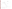Page 31 of 55 Version 2.1 Date: 11/30/00



**Figure 5. Schedule for Low-Level Hg Detection Test**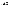#### **4.5 Data Comparisons**

This section describes how the reference and CEM data will be used and compared to quantify the performance of the CEMs. Table 4-4 summarizes the data that will be used for the verification comparisons.

Relative accuracy will be verified by comparing the CEM results against the reference results, for each parameter that the CEM measures. That is, if the CEM measures only total vapor-phase mercury, then only the TVM results from the Ontario Hydro method will be used for verification. However, if the CEM also measures oxidized, elemental, or particulate mercury, then those results from the Ontario Hydro method will also be used for verification. A total of 15 Ontario Hydro sampling runs is planned in the verification test (6 with lower Hg levels, and 9 with higher Hg levels), with four Ontario Hydro sampling trains operating simultaneously in each period. Thus a total of 60 Ontario Hydro samples will be used to evaluate relative accuracy.

The purpose of sampling with dual Ontario Hydro trains at both reference sampling locations is to assess the variability of the reference method results that are the basis for the CEM verification. At the mercury concentrations to be used in this verification, it is expected from previous results that the precision of duplicate Ontario Hydro results will be within about 10 percent. On the basis of those same results, it is expected that day-to-day reproducibility of Hg levels in the RKIS, and upstream-to-downstream uniformity of the mercury levels, will also be within that range. Thus, consistent Hg levels are expected throughout each week of testing. As a result, the entire set of reference method results, not merely those from a single test day, will be considered in screening for reference data quality. The Ontario Hydro results will be reviewed before verification comparisons are made, to identify individual outliers from the full set of reference method results. That is, the Ontario Hydro results will be screened for three factors:

- Precision of results from co-located sampling trains
- Consistency of results with others at the respective sampling location
- Uniformity of upstream and downstream locations.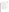| Performance<br>Parameter | Objective                                                                                     | <b>Comparison Based On</b>                                            | <b>Total Number of</b><br><b>Data Points for</b><br>Verification |
|--------------------------|-----------------------------------------------------------------------------------------------|-----------------------------------------------------------------------|------------------------------------------------------------------|
| Accuracy                 | Determine degree of quantitative<br>agreement with reference method                           | Reference method results                                              | 60 <sup>a</sup>                                                  |
| Correlation              | Determine degree of correlation with<br>reference method                                      | Reference method results                                              | 60 <sup>a</sup>                                                  |
| Precision                | Determine repeatability of successive<br>measurements at fixed mercury<br>levels              | Repetitive measurements under<br>constant facility conditions         | $15^{\rm b}$                                                     |
| Cal/Zero Drift           | Determine stability of zero gas and<br>span gas response over successive<br>days              | Zero Gas and Hg° Standard                                             | $q^c$                                                            |
| Sampling<br>System Bias  | Determine effect of the CEM's<br>sample interface on response to zero<br>gas and Hg° standard | Response at analyzer vs.<br>through sample interface                  | 2 <sup>d</sup>                                                   |
| Interferences            | Determine the effect of interferants<br>on response to a constant Hg<br>concentration         | Observation of CEM response<br>with and without added<br>interferants | 7 <sup>e</sup>                                                   |
| Response Time            | Estimate rise and fall times of the<br><b>CEMs</b>                                            | CEM results at start/stop of Hg<br>addition                           | 4 <sup>f</sup>                                                   |
| Low Level Hg<br>Response | Determine ability of CEMs to<br>respond to Hg below 8 $\mu$ g/m <sup>3</sup>                  | Continuous monitoring of<br>varied Hg concentrations                  | 5 <sup>g</sup>                                                   |

# **Table 4-4. Summary of Data to Be Obtained in Mercury CEM Verification Test**

(a) Number of data points refers to total number of Ontario Hydro method sampling runs used for comparison. Each run will provide a value for TM, OM, EM, and PM.

(b) Based on the total number of Ontario Hydro method sampling runs in which repeatability of CEM results will be assessed.

(c) Based on total number of zero/span challenges done in the two weeks of testing.

(d) Based on conducting this test once in each week of testing.

(e) Based on tests for  $SO_2$ ,  $CL_2$ ,  $NO_x$ ,  $CO$ ,  $HCl$ , and mixtures of these species, done in the first week of testing.<br>(f) Based on rise and fall time tests with pure gases, in each of the two weeks of testing.

Based on rise and fall time tests with pure gases, in each of the two weeks of testing.

(g) Based on response to 0, 1, 2, 4, and 8  $\mu$ g/m<sup>3</sup> Hg levels.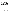Page 34 of 55 Version 2.1 Date: 11/30/00

Ontario Hydro test results which are identified as outliers on any of these criteria will be reported, but will not be used for verification. The intent of this approach is to provide a valid set of reference data for verification purposes, while also illustrating the degree of variability of the reference method. Identification of outliers will be based on basic statistical tests such as a t-test comparison of means, or a Q-test evaluation of divergent results. In any case where rejection of a reference result is suggested, effort will be made to find an assignable cause for the divergent result.

Correlation of the CEM with the Ontario Hydro method will be verified using the same data used to assess relative accuracy. Correlation will be calculated for each parameter measured by the CEM (i.e., TVM, EM, OM, etc.).

Precision of the CEMs will be assessed based on the individual measurements performed by each CEM over the duration of each Ontario Hydro method sampling run. For example, if a CEM provides an updated measurement every 5 minutes, then over a one-hour sampling run a total of 12 readings would be obtained. The average and standard deviation of those readings will be calculated to assess precision. This procedure will be applied to all 15 of the Ontario Hydro method sampling intervals.

Calibration and zero drift will be verified based on challenging the CEMs with zero gas and with a compressed gas standard of Hg<sup>o</sup> on each test day in each week of the test. Thus at least nine data points will be used to assess zero drift, and an equal number to assess calibration drift. Note that only the relative stability of the response will be assessed, i.e., the Hg<sup>o</sup> standard will not be used as an absolute calibration standard. The sampling system bias test will be performed once as part of the calibration/zero drift test procedure, in each week of testing.

Interference effects will be assessed by adding potential interferants one at a time during a constant addition of mercury to the RKIS flue gas, and comparing the CEM readings with and without the interferant. This will be done only in the first week of testing (i.e., at the lower mercury level), for the seven individual interferants or combination of interferants described in Section 4.4. Thus a total of seven comparisons will be made of interference effects.

CEM response times will be determined by recording successive CEM readings at times when mercury delivery to the CEM is started or stopped. This procedure will be performed once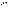in each test week as part of the calibration/zero drift test, using the Hg<sup>o</sup> standard gas. Both rise and fall time will be determined, resulting in two determinations of rise time and two of fall time.

Low level Hg response will be evaluated once in the first test week, by successively reducing the Hg level in the RKIS. The lowest Hg level giving a response above the zero air reading will be reported.

No additional test activities will be required to determine the data completeness achieved by the CEMs. Data completeness will be assessed by comparing the data recovered from each CEM to the amount of data that would be recovered upon completion of all portions of these test procedures.

Setup and maintenance needs will be documented qualitatively, both through observation and through communication with the vendors during the test. Factors to be noted include the frequency of scheduled maintenance activities, the downtime of the CEM, and the number of staff operating or maintaining it during the verification test.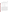# Page 36 of 55 Version 2.1 Date: 11/30/00

#### **5.0 STATISTICAL CALCULATIONS**

This statistical calculations to be used to verify CEM performance are described below. In all cases, measurement results from both the reference method and the CEMs undergoing testing are to be reported in units of  $\mu$ g/m<sup>3</sup> on a dry basis at 20 °C, 1 atmosphere pressure, and the actual flue gas  $O_2$  content.

#### **5.1 Relative Accuracy**

The relative accuracy (RA) of the CEMs with respect to the reference (Ontario Hydro) method will be assessed by:

$$
RA = \frac{|\overline{d}| + t_{n-1}^{\alpha} \frac{S_d}{\sqrt{n}}}{\overline{x}} \times 100\%
$$
 (1)

where *d* refers to the difference between the Ontario Hydro and CEM results, and *x* corresponds to the Ontario Hydro result.  $S_d$  denotes the sample standard deviation of the differences, while  $t_{n-1}^*$  is the t value for the 100(1 -  $\alpha$ )th percentile of the distribution with n-1 degrees of freedom. The relative accuracy will be determined for an  $\alpha$  value of 0.025 (i.e., 97.5 percent confidence level, one-tailed). The RA calculated in this way can be interpreted as an upper confidence bound for the relative bias of the analyzer, i.e.,  $\frac{|\vec{d}|}{\vec{x}}$ , where the superscript bar indicates the average value of the differences or of the reference values. Relative accuracy will be calculated separately for the first and second week of testing, with up to 24 samples and up to 36 samples, respectively (assuming all Ontario Hydro method samples can be treated as independent results). With these numbers of samples, the RA procedure stated in PS- $12^{(6)}$  will be followed, i.e., up to three results may be omitted from the RA calculation. The impact of the number of data points (n) on the RA value will be noted in the verification report. Relative accuracy will be calculated separately for each parameter measured by each CEM (i.e, TVM, EM, OM, etc.).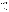# Page 37 of 55 Version 2.1 Date: 11/30/00

#### **5.2 Correlation with Reference Method**

The degree of correlation of each CEM with the reference method results will be assessed in terms of the coefficient of determination  $(r^2)$ , which is the square of the correlation coefficient (r). The coefficient of determination will be calculated for each parameter measured by each CEM (i.e, TVM, EM, OM, etc.). This calculation will be made separately for the first and second week of testing, with up to 24 samples and up to 36 samples, respectively (assuming all Ontario Hydro method samples can be treated as independent results).

#### **5.3 Precision**

Precision will be calculated in terms of the percent relative standard deviation (RSD) of a series of CEM measurements made during stable operation of the RKIS, with Hg injected at a constant level into the combustion zone. During each Ontario Hydro method sampling run, all readings from a CEM undergoing testing will be recorded, and the mean and standard deviation of those readings will be calculated. Precision (*P*) will then be determined as:

$$
P = \frac{SD}{\overline{X}} \times 100
$$
 (2)

where *SD* is the standard deviation of the readings and  $\overline{X}$  is the mean of the readings. The same calculation will be performed for each parameter measured by the CEM (i.e., TM, EM, OM, etc.). This calculation will be done for each CEM, using data from every Ontario Hydro method sampling run (15 in all). The verification report will note that the calculated precision is subject to the variability of the test facility, not only the CEM variability. However, since precision will be assessed for all CEMs based on data from the same reference sampling periods, the relative precision of the tested CEMs will be apparent. Although no comparison among CEMs will be made, all CEM data from the periods of precision testing will be reviewed, to assess whether the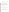Page 38 of 55 Version 2.1 Date: 11/30/00 consensus of the CEM data indicates a variation in the test facility itself. If such a variation is indicated, that finding will be noted in all verification reports.

#### **5.4 Calibration and Zero Drift**

Calibration and zero drift will be determined in a relative sense, rather than as deviations from an absolute standard, as in PS-12. That is, calibration and zero drift will be reported in terms of the mean, relative standard deviation, and range (maximum and minimum) of the readings obtained from the CEM in the daily sampling of the same Hg<sup>o</sup> standard gas, and of zero gas. Up to five Hg<sup>o</sup> standard readings, and up to five zero readings, will be used for this calculation, in each of the two weeks of verification testing. The relative standard deviation (RSD) will be calculated as

$$
RSD = \frac{SD}{\overline{x}} \times 100 \tag{3}
$$

where  $\bar{x}$  is the mean, and SD the standard deviation, of the daily readings on standard or zero gas. This calculation, along with the range of the data, will indicate the day-to-day variation in zero and standard readings.

#### **5.5 Sampling System Bias**

Sampling system bias will be calculated as the difference in CEM response when sampling Hg<sup>o</sup> standard gas through the CEM's entire sample interface, compared to that when sampling the same gas directly at the CEM's pollutant analyzer, expressed as a percentage of the response at the analyzer. That is,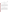Page 39 of 55 Version 2.1 Date: 11/30/00

$$
B = \frac{R_{\rm s} - R_{\rm a}}{R_{\rm a}} \times 100 \tag{4}
$$

where B is the percent bias,  $R_{si}$  is the CEM's reading when the standard gas is supplied at the sampling inlet, and  $R_a$  is the reading when the standard is supplied to the analyzer.

#### **5.6 Interferences**

Interferences will be determined during sampling of combustion flue gas, in terms of the difference in response to a constant mercury level when a single interferant is added or removed. Interferences will be quantified in terms of the relative sensitivity to the interferant species. The relative sensitivity is calculated as the ratio of the observed change in response of the analyzer to the concentration of the interferant. For example, a CEM that reports  $8 \mu g/m^3$  of total Hg in the absence of SO<sub>2</sub>, may report 12  $\mu$ g/m<sup>3</sup> in the presence of 500 ppm SO<sub>2</sub>. The relative sensitivity of the CEM is thus  $4 \mu g/m^3/500$  ppm.

#### **5.7 Response Time**

The response time will be determined as the time after a step change in mercury concentration when the CEM reading has reached a level equal to 95 percent of that step change. Both rise time and fall time will be determined. CEM response times will be determined in conjunction with a calibration/zero drift check, by starting or stopping delivery of the  $Hg^{\circ}$ standard gas to the CEM's sampling interface, recording all readings until stable readings are obtained, and then estimating the 95% response time. For most CEMs, the estimation process will require interpolating between successive readings, since the measurement process is not truly continuous.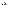#### **5.8 Low Level Hg Response**

The ability of the commercial CEMs to determine low Hg concentrations will be assessed by comparing responses at successive levels of 0, 1, 2, 4, 8, and 0  $\mu$ g/m<sup>3</sup> of added Hg in the RKIS. The lowest Hg level producing a response above that with no Hg added will be reported. The data from all CEMs will be reviewed collectively, to indicate whether absence of a response may be due to the limitations of the Hg injection process, or to limitations of CEM response. For example, if no CEM shows a response at the  $1 \mu g/m^3$  level, then no conclusion will be drawn about detection of that level, since inadequate injection rather than lack of detection may be the cause.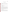#### **6.0 MATERIALS AND EQUIPMENT**

#### **6.1 Gases and Chemicals**

#### **6.1.2 Interference Gases**

Compressed gases  $(SO_2, NO, CO, HCl, Cl<sub>2</sub>)$  for use in simulating combustion gas composition and testing interference effects will be obtained from a commercial supplier, and will be of minimum 99% purity. Each interference gas will consist of a single interferant as a pure gas.

#### **6.1.3 High Purity Nitrogen/Air**

The high purity gases used for zeroing of the CEMs will be commercial ultra-high purity (UHP, i.e., minimum 99.999% purity) air or nitrogen.

#### **6.1.4 Mercury Standard Gases**

Two compressed gas standards containing elemental Hg will be obtained from Spectra Gases for use in assessing drift of the CEMs. These will consist of Hg<sup>o</sup> in a nitrogen matrix, at levels of about 1 ppb (8  $\mu$ g/m<sup>3</sup>) and 5 ppb (40  $\mu$ g/m<sup>3</sup>), for use in the first and second weeks of testing, respectively. Multiple cylinders of uniform concentration will be obtained, if required to meet the gas consumption rates of the CEMs during the test. Each Hg°standard cylinder will be analyzed both before and after the verification test, by sampling the cylinder contents with EPA Method 101A and analyzing for mercury. That analysis will be done by the University of North Dakota, Energy and Environmental Research Laboratory (EERC).

#### **6.1.5 Injection Mercury Solutions**

The mercury solutions used to introduce mercury into the primary combustion zone of the RKIS will be made from commercial ACS reagent grade mercury (II) nitrate monohydrate (minimum 98% purity), using deionized water. A measured mass of the reagent is dissolved in deionized water with 25 ml concentrated nitric acid (70 wt. percent, ACS reagent grade), and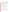Page 42 of 55 Version 2.1 Date: 11/30/00

diluted to 4 L with deionized water. Serial dilutions of this stock solution produce the working injection solutions. Each such solution is made by diluting an aliquot of the stock solution, along with 25 ml of the nitric acid, in deionized water, up to a 4 L volume. All solution concentrations are calculated and reported in terms of Hg. The concentration of the injection solution must be known to calculate Hg feed rate and to fulfill RKIS permit reporting requirements. In terms of verification testing, while Hg injection solution concentrations and feed rates aid in establishing the appropriate flue gas Hg concentrations, the actual flue gas Hg content will be determined by the OH method sampling, and not by calculation of the injected Hg. Solutions will be made up only as needed for injection into the RKIS, to minimize waste. All stock and injection solutions will be prepared under the direction of Jeff Ryan of EPA.

#### **6.1.6 Mercury Spiking Standard**

A NIST-traceable aqueous Hg standard, obtained from a commercial supplier, will be used as the spiking solution in the performance evaluation of Ontario Hydro analysis noted in Section 7.2.2. If spiking of the particle filter in the Ontario Hydro train is required, as a performance evaluation in verifying CEM determinations of particulate Hg, then a NIST coal fly ash standard reference material will be used as the spiking material.

#### **6.2 Reference Method**

#### **6.2.1 Sampling Trains**

The glassware, filters, and associated equipment for performance of the Ontario Hydro reference method<sup> $(4)$ </sup> sampling will be supplied by EPA at the RKIS facility. Multiple trains will be supplied so that as many as twelve trains (i.e., three sampling runs with four trains each) may be sampled in a single day, in addition to at least one blank train per day. Preparation, sampling, sample recovery, and cleaning of used trains will be the responsibility of the contractor in this verification test.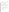#### **6.2.2 Analysis Equipment**

Laboratory equipment for sample recovery and analysis will be provided by the laboratory contractor. This will include all chemicals and solutions for rinsing train components and recovering impinger samples, as well as cold vapor atomic absorption (CVAA) or atomic fluorescence (CVAFS) spectroscopy equipment for mercury determination.

#### **6.3 RKIS Monitoring Equipment**

This verification will make use of monitoring equipment already integrated into the RKIS facility. This equipment includes monitors for major flue gas constituents  $(O_2, CO_2)$  and for chemical contaminants  $(CO, NO<sub>x</sub>, SO<sub>2</sub>, HCl)$ , as well as sensors for temperature and pressure. These monitors are identified in Table 3-2. These devices are considered part of the RKIS facility for purposes of this test, and will be operated during this verification according to normal RKIS procedures.

#### **6.4 Equipment Used for Performance Evaluation Audits**

As described in Section 7.2.2, performance evaluation (PE) audits will be performed for the  $O_2$ ,  $CO_2$ , temperature, and pressure measurements in the RKIS flue gas. Those PE audits will be performed by conducting a parallel measurement using an independent monitoring device. The devices to be used will be provided by Battelle, and include the following:

- Paramagnetic  $O_2$  monitor
- Infrared  $CO<sub>2</sub>$  monitor
- Thermocouple temperature indicator
- Aneroid barometer
- Magnehelic differential pressure indicator.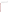These devices will have been calibrated by the manufacturer or by Battelle's Instrument Laboratory within the six months immediately preceding the verification test. In addition, a calibrated set of weights will be used, to audit the balance used to weigh impingers from the OH trains, for determining flue gas  $H_2O$  content.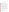#### **7.0 QUALITY ASSURANCE/QUALITY CONTROL**

#### **7.1 Equipment Calibrations**

#### **7.1.1 RKIS Monitoring Equipment**

The RKIS CEMs and other monitoring devices noted in Section 6.3 will be calibrated by EPA and RKIS contractor staff according to normal facility procedures. However, a distinction must be made between those measurements which factor directly into verification results, and those which are secondary in nature.

Measurements which factor directly into verification results are those that are used in calculation of results from the Ontario Hydro method. Those include flue gas temperature, pressure, and  $O_2$  and  $CO_2$  content. For these measurements, compliance level calibration procedures are required, and will be carried out by EPA and/or RKIS contractor staff. The pertinent calibration procedures will be conducted on a schedule chosen by these staff, and suitable to assure adequate data quality during the verification. All calibration results must be documented for inclusion in the verification data files and verification report. The flue gas H<sub>2</sub>O content will be determined from impinger weights in the Ontario Hydro trains. Calibration records for the balance used will be documented.

Measurements which do not factor directly into verification results include monitoring of the pollutant gases CO,  $NO_x$ ,  $SO_2$ , and HCl. These data will indicate the level of flue gas constituents during interference testing or flue gas sampling. Calibration of the CEMs for these species need not meet compliance requirements, though for some species such calibration requirements may be in place due to the emission limits on the RKIS itself. For these species, single-point calibrations during the verification test, coupled with existing documentation of linear response, will be sufficient.

#### **7.1.2 Reference Method**

The contractors performing the Ontario Hydro method sampling must perform all required quality assurance/quality control (QA/QC) activities stated in the method. This includes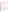Page 46 of 55 Version 2.1 Date: 11/30/00

provision of blank sampling trains (one per sampling day, at either the upstream or downstream location), and of blank sampling materials (filters, reagent solution blanks) in the field. Documentation of these activities will be required for inclusion in the verification data file. Deviation from the Ontario Hydro method $^{(4)}$  will occur only in that traversing of the duct will not be done. Options for making particulate mass measurements, and for quickly turning glassware around in sample recovery, will be used. Spiking of Ontario Hydro trains, as recommended in the method<sup> $(4)$ </sup> will be performed by Battelle staff, as described in Section 7.2.3.

#### **7.1.3 Analytical Laboratory**

The laboratory conducting the analysis of samples from the Ontario Hydro method must provide documentation of all required calibrations conducted on the mercury analysis equipment. That documentation may be provided as part of an overall data package that includes the analytical results.

#### **7.2 Assessment and Audits**

#### **7.2.1 Technical Systems Audits**

Battelle's Quality Manager, Mr. Charles Lawrie, will perform a technical systems audit (TSA) once during the performance of this verification test. The purpose of this TSA is to ensure that the verification test is being performed in accordance with this test/QA plan and that all QA/QC procedures are being implemented. In this audit, Mr. Lawrie may review the reference sampling and analysis methods used, compare actual test procedures to those specified in this plan, and review data acquisition and handling procedures. Mr. Lawrie will prepare a TSA report, the findings of which must be addressed either by modifications of test procedures or by documentation in the test records and report.

At EPA's discretion, EPA QA staff may also conduct an independent on-site TSA during the verification test. The TSA findings will be communicated to testing staff at the time of the audit, and documented in a TSA report.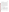#### **7.2.2 Performance Evaluation Audit**

A performance evaluation (PE) audit will be conducted to assess the quality of the measurements made in this verification test. This audit addresses only those measurements that factor into the data used for verification, i.e., the CEMs being verified and the vendors operating these CEMs are not the subject of the performance evaluation audit. This audit will be performed once during the verification test, and must be performed by analyzing a standard or comparing to a reference that is independent of standards used during the testing. For most of the key measurements, this audit will be done by comparing data from the RKIS equipment to that from a second analyzer or monitor, operated simultaneously. For example, the PE audit of  $O_2$  data will involve sampling with a second  $O_2$  analyzer at the same point in the duct, and comparing results. Similar comparisons will be made for temperature, pressure, and CO<sub>2</sub>. In addition, the balance used to determine flue gas H<sub>2</sub>O content by means of the OH impinger samples will be checked with a calibrated set of weights. Table 7-1 summarizes the PE audits that will be done. These audits will be the responsibility of Battelle staff, and will be carried out with the cooperation of EPA and contractor staff.

| <b>Parameter</b>                     | <b>Audit Procedure</b>                             | <b>Expected Tolerance</b>                  |  |
|--------------------------------------|----------------------------------------------------|--------------------------------------------|--|
| O <sub>2</sub>                       | Compare to independent O <sub>2</sub> measurement  | $\pm 1\%$ O <sub>2</sub>                   |  |
| CO <sub>2</sub>                      | Compare to independent CO <sub>2</sub> measurement | $\pm 10\%$ of CO <sub>2</sub> reading      |  |
| Temperature                          | Compare to independent temperature measurement     | $\pm$ 2% absolute temperature              |  |
| <b>Barometric</b><br>Pressure        | Compare to independent pressure measurement        | $\pm 0.5$ inch of H <sub>2</sub> O         |  |
| Flue Gas<br>Differential<br>Pressure | Compare to independent pressure measurement        | $\pm 0.5$ inch of H <sub>2</sub> O         |  |
| Mass $(H, O)$                        | Check balance with calibrated weights              | $\pm 1\%$ or 0.5 g, whichever<br>is larger |  |

**Table 7-1. Summary of PE Audits on RKIS Measurements**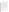These PE audits will be carried once during the period of operation at the RKIS. Battelle will supply the equipment needed to make the independent PE measurements. If agreement outside the indicated tolerance is found, the test will be repeated. Further failure to achieve agreement will result in re-calibration of the independent measurement device, or use of a different measurement device.

For mercury, this PE requirement is difficult, because of the absence of convenient absolute gas-phase mercury standards or independent measurement devices. Consequently, this audit will consist of spiking one or more Ontario Hydro sampling trains with known amounts of mercury, and conducting sample analysis on the train without sampling of combustion gas. If the CEMs undergoing verification do not determine particulate Hg, then only the impingers of the OH train will be spiked. A NIST-traceable Hg standard solution will be used for that purpose. Agreement of Hg determined in sample analysis with that spiked into the sample train is expected to be within 10 percent. Because of the time required for sample analysis, the PE audit results for Hg may not be known until after the verification tests are completed. Response to PE audit results outside the expected tolerance will be to consider possible causes for the disagreement, and if appropriate to note the implications of Ontario Hydro PE results on CEM verification results, in the verification reports. If determination of particulate Hg is performed by one or more of the CEMs undergoing verification, then a Hg standard will also be used to spike the particle filter in the OH train. Battelle's Quality Manager will assess PE audit results.

#### **7.2.3 Data Quality Audit**

Battelle's Quality Manager will audit at least 10 percent of the verification data acquired in the verification test. The Quality Manager will trace the data from initial acquisition, through reduction and statistical comparisons, and to final reporting. All calculations performed on the data undergoing audit will be checked.

#### **7.2.4 Assessment Reports**

Each assessment and audit will be documented in accordance with Section 2.9.7 of the QMP for the AMS pilot.<sup>(1)</sup> Assessment reports will include the following: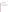- Identification of any adverse findings or potential problems
- Space for response to adverse findings or potential problems
- Possible recommendations for resolving problems
- Citation of any noteworthy practices that may be of use to others
- Confirmation that solutions have been implemented and are effective.

# **7.2.5 Corrective Action**

The Quality Manager during the course of any assessment or audit will identify to the technical staff performing experimental activities any immediate corrective action that should be taken. If serious quality problems exist, the Quality Manager is authorized to stop work. Once the assessment report has been prepared, the Verification Testing Leader will ensure that a response is provided for each adverse finding or potential problem, and will implement any necessary followup corrective action. The Quality Manager will ensure that follow-up corrective action has been taken.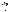# **8.0 DATA ANALYSIS AND REPORTING**

#### **8.1 Data Acquisition**

Data acquisition in this verification test includes recording of the response data from the CEMs undergoing testing, documentation of sampling conditions and analytical results from the reference method, and recording of operational data such as combustion source conditions, test temperatures, the times of test activities, etc.

Data acquisition for the commercial CEMs undergoing verification will be performed by the CEM vendors during the test. Each CEM must have some form of data acquisition device, such as a digital display whose readings can be recorded manually, a printout of analyzer response, or an electronic data recorder that stores individual analyzer readings. For all tests the vendor will be responsible for reporting the response of the CEM to the sample provided. The CEM data are to be provided to Battelle at the end of each test day, and must include the results of all tests conducted on that day. The CEM data must include all individual readings of the CEM (i.e., TVM, EM, etc.). listed by time of day. Averaged results, e.g., TVM data averaged over the period of an Ontario Hydro sampling run, may also be provided, if available. If not provided, averaging will be performed by Battelle in data processing. Electronic data files are the preferred means of data transfer, with Excel® or ASCII file formats preferred.

Other data will be recorded in laboratory record books maintained by Battelle, EPA, and contractor staff involved in the testing. These records will be reviewed on a daily basis to identify and resolve any inconsistencies. All written records must be in ink. Any corrections to notebook entries, or changes in recorded data, must be made with a single line through the original entry. The correction is then to be entered, initialed and dated by the person making the correction.

In all cases, strict confidentiality of data from each vendor's CEM, and strict separation of data from different CEMs, will be maintained. Separate files (including manual records, printouts, and/or electronic data files) will be kept for each CEM. At no time during verification testing will Battelle staff engage in any comparison or discussion of different CEMs.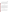Page 51 of 55 Version 2.1 Date: 11/30/00

Table 8-1 summarizes the types of data to be recorded; how, how often, and by whom the recording is made; and the disposition or subsequent processing of the data. The general approach is to record all test information immediately and in a consistent format throughout all tests. Data recorded by the vendors is to be turned over to Battelle staff immediately upon completion of each test day. Identical file formats will be used to make quantitative evaluations of the data from all CEMs tested, to assure uniformity of data treatment. This process of data recording and compiling will be overseen by the Verification Testing Leader and Quality Manager.

#### **8.2 Data Review**

Records generated in the verification test will receive a one-over-one review within two weeks after generation, before these records are used to calculate, evaluate, or report verification results. These records may include laboratory record books; operating data from the combustion source; data from the CEMs; or reference method analytical results. This review will be performed by a Battelle technical staff member involved in the verification test, but not the staff member that originally generated the record. EPA/contractor and/or vendor staff will be consulted as needed to clarify any issues about the data records. The review will be documented by the person performing the review by adding his/her initials and date to a hard copy of the record being reviewed. This hard copy will then be returned to the Battelle staff member who generated or who will be storing the record.

#### **8.3 Reporting**

The statistical data comparisons described in Sections 4.5 and 5.0 will be conducted separately for each commercial Hg CEM. Separate verification reports will then be prepared, each addressing the CEM provided by one commercial vendor. The verification report will present the test data, as well as the results of the statistical evaluation of those data.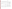# Page 52 of 55 Version 2.1 Date: 11/30/00

# **Table 8-1. Summary of Data Recording Process for the Verification Test**

| Data to be Recorded                                                                                     | <b>Responsible Party</b>    | <b>Where Recorded</b>                                                                   | <b>How Often Recorded</b>                                                                | Disposition of Data <sup>(a)</sup>                                                                     |
|---------------------------------------------------------------------------------------------------------|-----------------------------|-----------------------------------------------------------------------------------------|------------------------------------------------------------------------------------------|--------------------------------------------------------------------------------------------------------|
| Dates, times of test events                                                                             | Battelle/EPA                | Laboratory record books                                                                 | Start/end of test, and at each<br>change of a test parameter.                            | Used to organize/check test<br>results; manually<br>incorporated in data<br>spreadsheets as necessary. |
| Test parameters (temperature,<br>analyte/interferant identities and<br>concentrations, gas flows, etc.) | EPA/Contractor/<br>Battelle | Laboratory record books                                                                 | When set or changed, or as<br>needed to document stability.                              | Used to organize/check test<br>results, manually<br>incorporated in data<br>spreadsheets as necessary. |
| Hg CEM readings<br>- digital display                                                                    | Vendor                      | Data sheets provided by<br>Battelle.                                                    | At specified points during<br>each test.                                                 | Manually entered into<br>spreadsheets                                                                  |
| - printout                                                                                              | Vendor                      | Original to Battelle, copy to<br>vendor.                                                | At specified points during<br>each test.                                                 | Manually entered into<br>spreadsheets                                                                  |
| - electronic output                                                                                     | Vendor                      | Data acquisition system (data<br>logger, PC, laptop, etc.).                             | Continuously at specified<br>acquisition rate throughout<br>each test.                   | Electronically transferred to<br>spreadsheets                                                          |
| Reference method sampling data                                                                          | Contractor/EPA              | Laboratory record books                                                                 | At least at start/end of<br>reference sample, and at each<br>change of a test parameter. | Used to organize/check test<br>results; manually<br>incorporated in data<br>spreadsheets as necessary. |
| Reference method sample analysis,<br>chain of custody, and results                                      | Contractor/EPA              | Laboratory record books, data<br>sheets, or data acquisition<br>system, as appropriate. | Throughout sample handling<br>and analysis process                                       | Transferred to spreadsheets                                                                            |

(a) All activities subsequent to data recording are carried out by Battelle.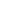The verification report will briefly describe the ETV program and the AMS Center, and will describe the procedures used in verification testing. These sections will be common to each verification report resulting from this verification test. The results of the verification test will then be stated quantitatively, without comparison to any other CEM tested, or comment on the acceptability of the CEM's performance. The preparation of draft verification reports, the review of reports by vendors and others, the revision of the reports, final approval, and the distribution of the reports, will be conducted as stated in the Generic Verification Protocol for the Advanced Monitoring Systems Pilot.<sup>(9)</sup> Preparation, approval, and use of Verification Statements summarizing the results of this test will also be subject to the requirements of that same Protocol.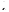## **9.0 HEALTH AND SAFETY**

The verification test described in this test/QA plan will be performed at the RKIS facility at EPA in Research Triangle Park, North Carolina. All participants in this verification test (i.e., Battelle, EPA, contractor, and vendor staff) will adhere to the health and safety requirements of the facility. Those requirements include completion of a 24-hour HAZWOPR training course before participation in any activities at the facility. Vendor staff will only be operating their Hg CEMs during the verification test. They are not responsible for, nor permitted to, operate the combustion source, or perform any other verification activities identified in this test/QA plan. Operation of the CEMs themselves does not pose any known chemical, fire, mechanical, electrical, noise, or other potential hazard.

All visiting staff at the RKIS will be given a site-specific safety briefing prior to the installation and operation of the CEMs. This briefing will include a description of emergency operating procedures (i.e., in case of fire, tornado, laboratory accident) and identification and location and operation of safety equipment (e.g., fire alarms, fire extinguishers, eye washes, exits). The following safe work practices must be followed by all staff involved in the mercury CEMs verification at the RKIS facility:

- All staff will be required to wear protective glasses, buttoned laboratory coats, and steel-toed safety shoes while working in the facility
- Hearing protection is recommended
- Eating, drinking, and smoking are only permitted in designated areas.

A "three warning" system will be enforced by EPA and contractor staff operating the RKIS facility to assure compliance with these safety practices:

- First infraction violator receives a verbal warning
- Second infraction violator receives a written warning
- Third infraction violator will be requested to leave the facility.